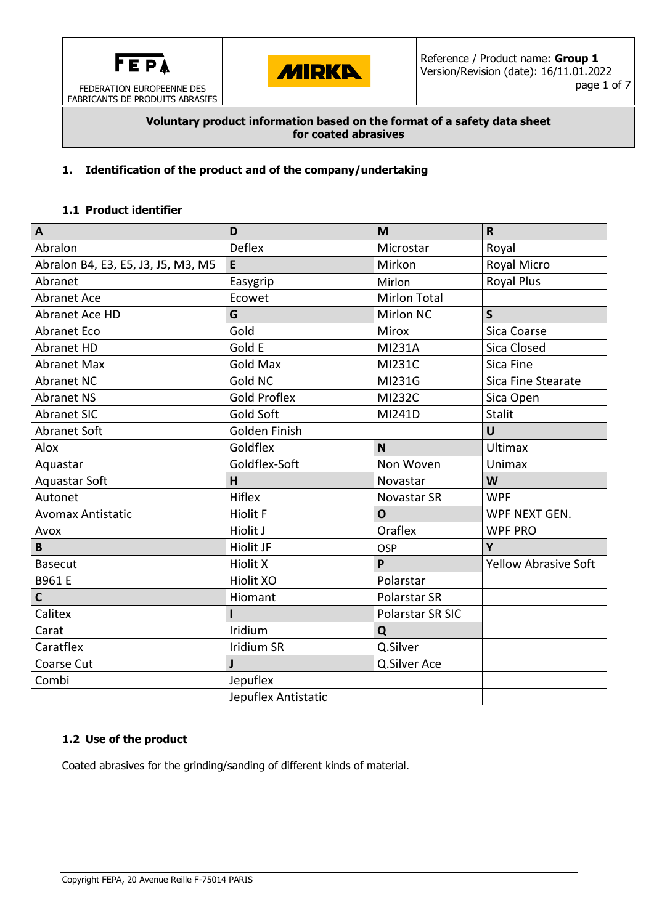

FABRICANTS DE PRODUITS ABRASIFS



### **Voluntary product information based on the format of a safety data sheet for coated abrasives**

## **1. Identification of the product and of the company/undertaking**

## **1.1 Product identifier**

| A                                  | D                   | M                   | $\mathsf{R}$                |  |
|------------------------------------|---------------------|---------------------|-----------------------------|--|
| Abralon                            | <b>Deflex</b>       | Microstar           | Royal                       |  |
| Abralon B4, E3, E5, J3, J5, M3, M5 | E                   | Mirkon              | Royal Micro                 |  |
| Abranet                            | Easygrip            | Mirlon              | <b>Royal Plus</b>           |  |
| <b>Abranet Ace</b>                 | Ecowet              | <b>Mirlon Total</b> |                             |  |
| Abranet Ace HD                     | G                   | <b>Mirlon NC</b>    | $\mathsf{S}$                |  |
| <b>Abranet Eco</b>                 | Gold                | Mirox               | Sica Coarse                 |  |
| <b>Abranet HD</b>                  | Gold E              | MI231A              | <b>Sica Closed</b>          |  |
| <b>Abranet Max</b>                 | <b>Gold Max</b>     | MI231C              | Sica Fine                   |  |
| <b>Abranet NC</b>                  | <b>Gold NC</b>      | MI231G              | Sica Fine Stearate          |  |
| <b>Abranet NS</b>                  | <b>Gold Proflex</b> | <b>MI232C</b>       | Sica Open                   |  |
| <b>Abranet SIC</b>                 | Gold Soft           | MI241D              | <b>Stalit</b>               |  |
| <b>Abranet Soft</b>                | Golden Finish       |                     | U                           |  |
| Alox                               | Goldflex            | <b>N</b>            | <b>Ultimax</b>              |  |
| Aquastar                           | Goldflex-Soft       | Non Woven           | <b>Unimax</b>               |  |
| <b>Aquastar Soft</b>               | H                   | Novastar            | W                           |  |
| Autonet                            | <b>Hiflex</b>       | <b>Novastar SR</b>  | <b>WPF</b>                  |  |
| <b>Avomax Antistatic</b>           | <b>Hiolit F</b>     | O                   | WPF NEXT GEN.               |  |
| Avox                               | Hiolit J            | Oraflex             | <b>WPF PRO</b>              |  |
| B                                  | <b>Hiolit JF</b>    | OSP                 | Y                           |  |
| <b>Basecut</b>                     | <b>Hiolit X</b>     | P                   | <b>Yellow Abrasive Soft</b> |  |
| B961 E                             | <b>Hiolit XO</b>    | Polarstar           |                             |  |
| $\mathsf{C}$                       | Hiomant             | Polarstar SR        |                             |  |
| Calitex                            |                     | Polarstar SR SIC    |                             |  |
| Carat                              | Iridium             | Q                   |                             |  |
| Caratflex                          | <b>Iridium SR</b>   | Q.Silver            |                             |  |
| Coarse Cut                         | J                   | Q.Silver Ace        |                             |  |
| Combi                              | Jepuflex            |                     |                             |  |
|                                    | Jepuflex Antistatic |                     |                             |  |

# **1.2 Use of the product**

Coated abrasives for the grinding/sanding of different kinds of material.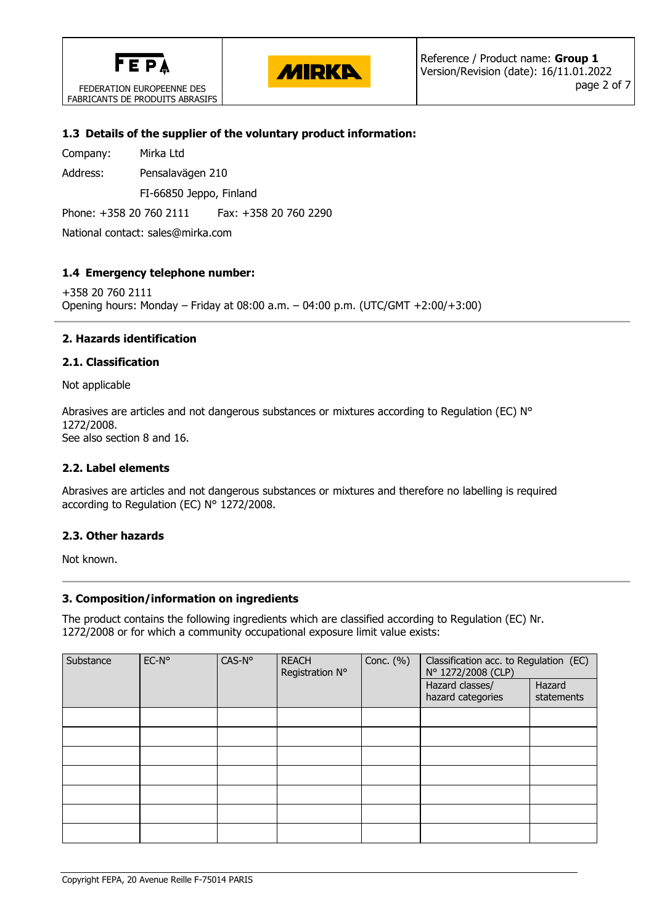

FEDERATION EUROPEENNE DES FABRICANTS DE PRODUITS ABRASIFS



### **1.3 Details of the supplier of the voluntary product information:**

Company: Mirka Ltd

Address: Pensalavägen 210

FI-66850 Jeppo, Finland

Phone: +358 20 760 2111 Fax: +358 20 760 2290

National contact: sales@mirka.com

## **1.4 Emergency telephone number:**

+358 20 760 2111 Opening hours: Monday – Friday at 08:00 a.m. – 04:00 p.m. (UTC/GMT +2:00/+3:00)

## **2. Hazards identification**

### **2.1. Classification**

Not applicable

Abrasives are articles and not dangerous substances or mixtures according to Regulation (EC) N° 1272/2008. See also section 8 and 16.

### **2.2. Label elements**

Abrasives are articles and not dangerous substances or mixtures and therefore no labelling is required according to Regulation (EC) N° 1272/2008.

### **2.3. Other hazards**

Not known.

### **3. Composition/information on ingredients**

The product contains the following ingredients which are classified according to Regulation (EC) Nr. 1272/2008 or for which a community occupational exposure limit value exists:

| Substance | CAS-N°<br>EC-N°<br><b>REACH</b><br>Registration N° |  | Conc. $(\% )$                        | Classification acc. to Regulation (EC)<br>N° 1272/2008 (CLP) |  |  |
|-----------|----------------------------------------------------|--|--------------------------------------|--------------------------------------------------------------|--|--|
|           |                                                    |  | Hazard classes/<br>hazard categories | Hazard<br>statements                                         |  |  |
|           |                                                    |  |                                      |                                                              |  |  |
|           |                                                    |  |                                      |                                                              |  |  |
|           |                                                    |  |                                      |                                                              |  |  |
|           |                                                    |  |                                      |                                                              |  |  |
|           |                                                    |  |                                      |                                                              |  |  |
|           |                                                    |  |                                      |                                                              |  |  |
|           |                                                    |  |                                      |                                                              |  |  |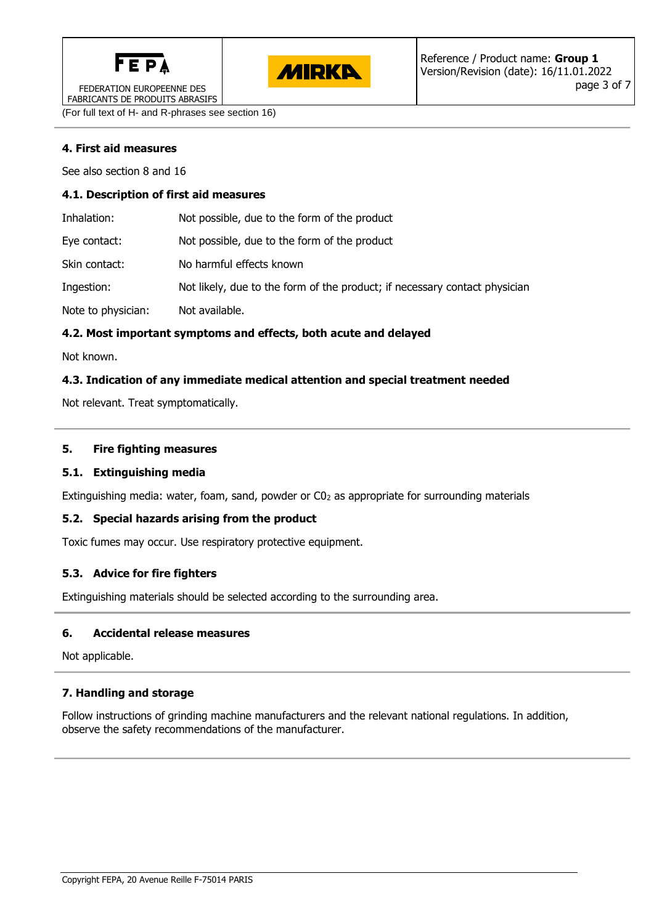



FEDERATION EUROPEENNE DES FABRICANTS DE PRODUITS ABRASIFS

(For full text of H- and R-phrases see section 16)

# **4. First aid measures**

See also section 8 and 16

### **4.1. Description of first aid measures**

| Inhalation:        | Not possible, due to the form of the product                               |
|--------------------|----------------------------------------------------------------------------|
| Eye contact:       | Not possible, due to the form of the product                               |
| Skin contact:      | No harmful effects known                                                   |
| Ingestion:         | Not likely, due to the form of the product; if necessary contact physician |
| Note to physician: | Not available.                                                             |

## **4.2. Most important symptoms and effects, both acute and delayed**

Not known.

## **4.3. Indication of any immediate medical attention and special treatment needed**

Not relevant. Treat symptomatically.

## **5. Fire fighting measures**

### **5.1. Extinguishing media**

Extinguishing media: water, foam, sand, powder or C0<sup>2</sup> as appropriate for surrounding materials

### **5.2. Special hazards arising from the product**

Toxic fumes may occur. Use respiratory protective equipment.

### **5.3. Advice for fire fighters**

Extinguishing materials should be selected according to the surrounding area.

### **6. Accidental release measures**

Not applicable.

### **7. Handling and storage**

Follow instructions of grinding machine manufacturers and the relevant national regulations. In addition, observe the safety recommendations of the manufacturer.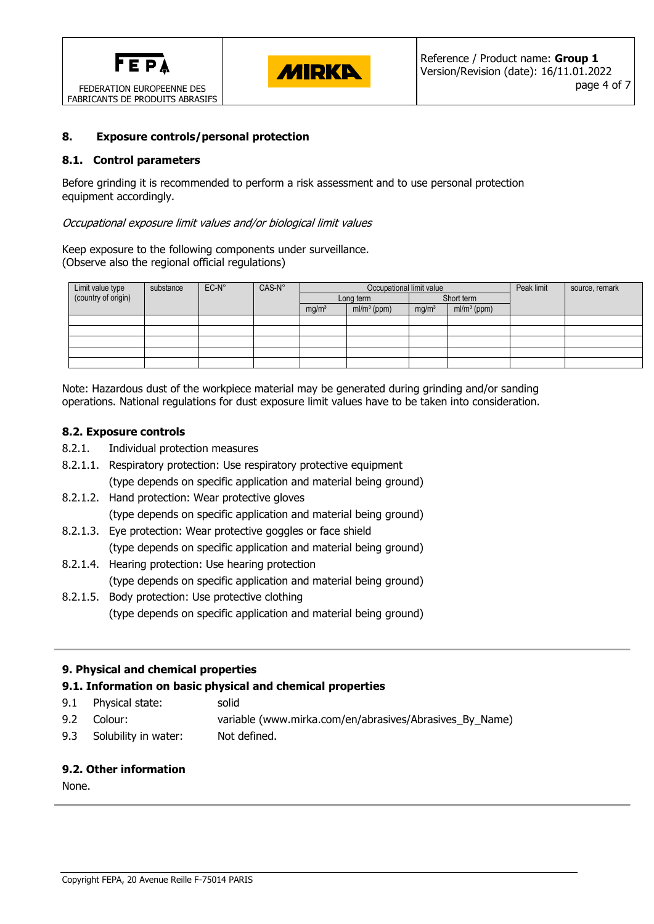



### **8. Exposure controls/personal protection**

### **8.1. Control parameters**

Before grinding it is recommended to perform a risk assessment and to use personal protection equipment accordingly.

#### Occupational exposure limit values and/or biological limit values

Keep exposure to the following components under surveillance. (Observe also the regional official regulations)

| Limit value type<br>(country of origin) | substance | $EC-N^{\circ}$ | CAS-N° | Occupational limit value |               |                   |               | Peak limit | source, remark |
|-----------------------------------------|-----------|----------------|--------|--------------------------|---------------|-------------------|---------------|------------|----------------|
|                                         |           |                |        | Long term                |               | Short term        |               |            |                |
|                                         |           |                |        | mg/m <sup>3</sup>        | $ml/m3$ (ppm) | mg/m <sup>3</sup> | $ml/m3$ (ppm) |            |                |
|                                         |           |                |        |                          |               |                   |               |            |                |
|                                         |           |                |        |                          |               |                   |               |            |                |
|                                         |           |                |        |                          |               |                   |               |            |                |
|                                         |           |                |        |                          |               |                   |               |            |                |
|                                         |           |                |        |                          |               |                   |               |            |                |

Note: Hazardous dust of the workpiece material may be generated during grinding and/or sanding operations. National regulations for dust exposure limit values have to be taken into consideration.

#### **8.2. Exposure controls**

- 8.2.1. Individual protection measures
- 8.2.1.1. Respiratory protection: Use respiratory protective equipment (type depends on specific application and material being ground)
- 8.2.1.2. Hand protection: Wear protective gloves (type depends on specific application and material being ground)
- 8.2.1.3. Eye protection: Wear protective goggles or face shield (type depends on specific application and material being ground)
- 8.2.1.4. Hearing protection: Use hearing protection (type depends on specific application and material being ground)
- 8.2.1.5. Body protection: Use protective clothing (type depends on specific application and material being ground)

### **9. Physical and chemical properties**

### **9.1. Information on basic physical and chemical properties**

- 9.1 Physical state: solid
- 9.2 Colour: variable (www.mirka.com/en/abrasives/Abrasives\_By\_Name)
- 9.3 Solubility in water: Not defined.

### **9.2. Other information**

None.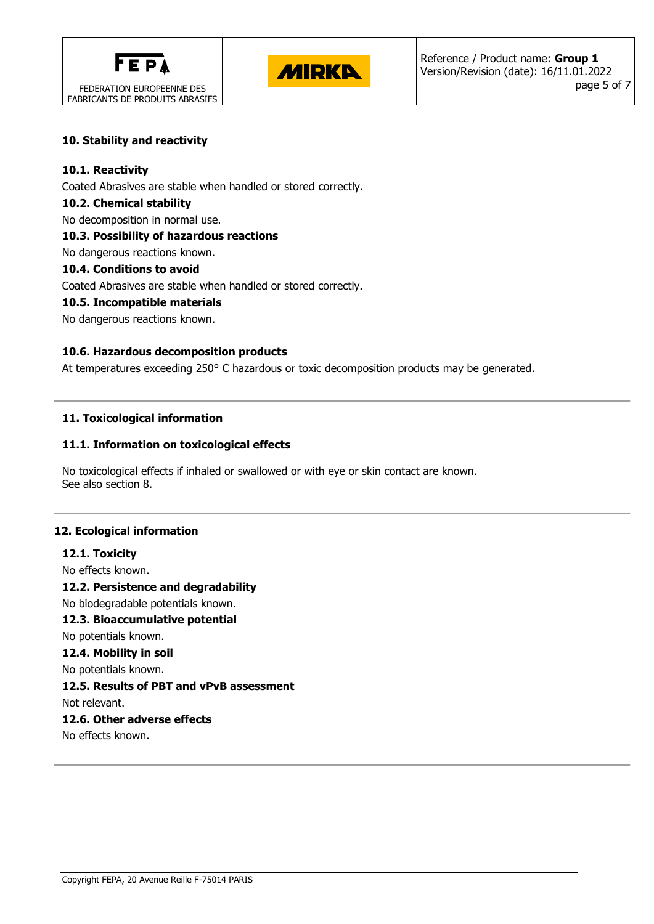



## **10. Stability and reactivity**

### **10.1. Reactivity**

Coated Abrasives are stable when handled or stored correctly.

### **10.2. Chemical stability**

No decomposition in normal use.

## **10.3. Possibility of hazardous reactions**

No dangerous reactions known.

## **10.4. Conditions to avoid**

Coated Abrasives are stable when handled or stored correctly.

## **10.5. Incompatible materials**

No dangerous reactions known.

## **10.6. Hazardous decomposition products**

At temperatures exceeding 250° C hazardous or toxic decomposition products may be generated.

## **11. Toxicological information**

## **11.1. Information on toxicological effects**

No toxicological effects if inhaled or swallowed or with eye or skin contact are known. See also section 8.

### **12. Ecological information**

**12.1. Toxicity** No effects known. **12.2. Persistence and degradability** No biodegradable potentials known. **12.3. Bioaccumulative potential** No potentials known. **12.4. Mobility in soil** No potentials known. **12.5. Results of PBT and vPvB assessment** Not relevant. **12.6. Other adverse effects**

No effects known.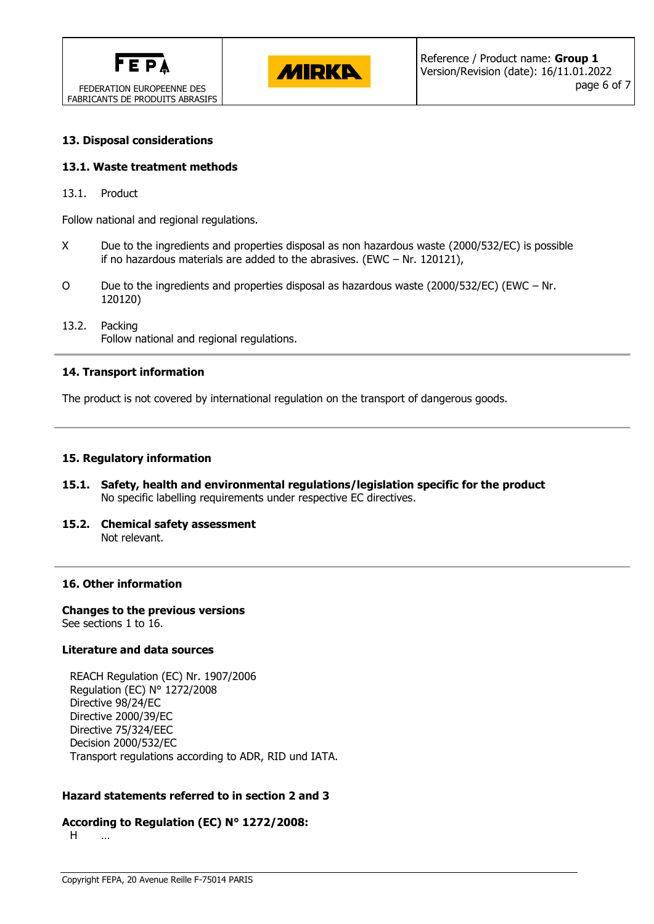



### **13. Disposal considerations**

#### **13.1. Waste treatment methods**

13.1. Product

Follow national and regional regulations.

- X Due to the ingredients and properties disposal as non hazardous waste (2000/532/EC) is possible if no hazardous materials are added to the abrasives. (EWC – Nr. 120121),
- O Due to the ingredients and properties disposal as hazardous waste (2000/532/EC) (EWC Nr. 120120)
- 13.2. Packing Follow national and regional regulations.

#### **14. Transport information**

The product is not covered by international regulation on the transport of dangerous goods.

#### **15. Regulatory information**

- **15.1. Safety, health and environmental regulations/legislation specific for the product** No specific labelling requirements under respective EC directives.
- **15.2. Chemical safety assessment** Not relevant.

#### **16. Other information**

**Changes to the previous versions** See sections 1 to 16.

#### **Literature and data sources**

REACH Regulation (EC) Nr. 1907/2006 Regulation (EC) N° 1272/2008 Directive 98/24/EC Directive 2000/39/EC Directive 75/324/EEC Decision 2000/532/EC Transport regulations according to ADR, RID und IATA.

### **Hazard statements referred to in section 2 and 3**

#### **According to Regulation (EC) N° 1272/2008:**

H …